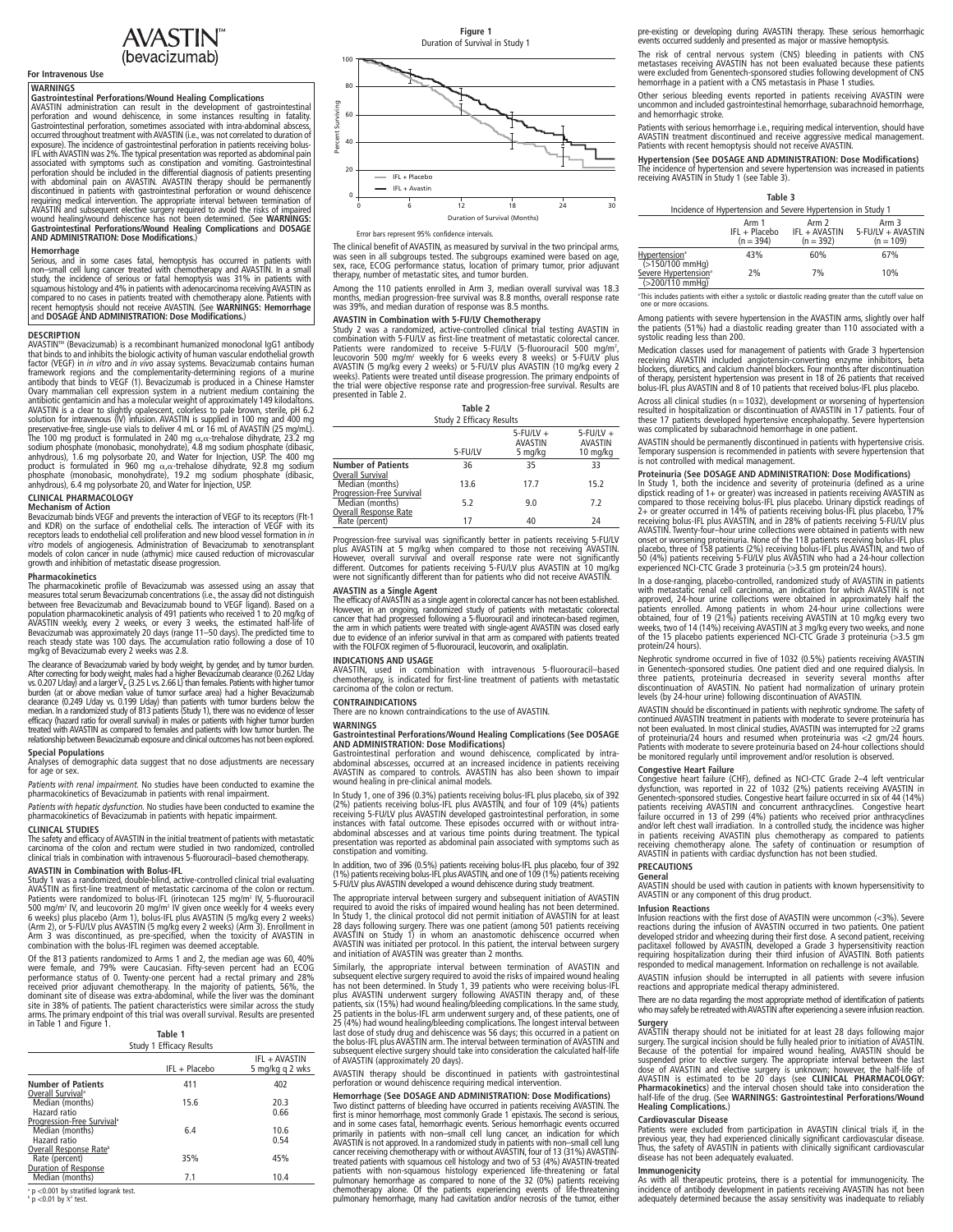# AVASTIN<sup>®</sup><br>(bevacizumab)

### **For Intravenous Use**

WARNINGS<br>
GARINDIST CONDICTIONS CONDICTION COMPLIGATION CONTRACTION ADVIDINGLY<br>
GARINGTIN administration can result in the development of gastrointestinal<br>
Perforation and wound dehiscence, in some instances resulting in f **AND ADMINISTRATION:** Designations/**Mound** Healing Complications and DOSAGE<br>AND ADMINISTRATION: Dose Modifications.)

Hemorrhage in some cases fatal, hemoptysis has occurred in patients with<br>Serious, and in some cases fatal, hemoptysis has occurred in patients with<br>study, the incidence of serious or fatal hemoptysis was 31% in patients wi

**DESCRIPTION**<br> **DESCRIPTION**<br> **DESCRIPTION**<br> **DESCRIPTION**<br> **DESCRIPTION**<br> **DESCRIPTION**<br> **ENASTINI<sup>nu</sup> (Revacizumab)** is a recombinant humanized monoclonal IgG1 antibody<br>
that binds to and inhibits the biologic activity

### **CLINICAL PHARMACOLOGY**

Mechanism of Action<br>
Bevacizumab binds VEGF and prevents the interaction of VEGF to its receptors (FIt-1<br>
and KDR) on the surface of endothelial cells. The interaction of VEGF with its<br>
receptors leads to endothelial cell

### **Pharmacokinetics**

The pharmacokinetic profile of Bevacizumab was assessed using an assay that<br>measures total serum Bevacizumab concentrations (i.e., the assay did not distinguish<br>between free Bevacizumab and Bevacizumab bound to VEGF ligand population pharmacokinetic analysis of 491 patients who received 1 to 20 mg/kg of<br>AVASTIN weekly, every 2 weeks, or every 3 weeks, the estimated half-life of<br>Bevacizumab was approximately 20 days (range 11–50 days). The pr

The dearance of Bevacizumab varied by body weight, by gender, and by tumor burden.<br>After correcting for body weight, males had a higher Bevacizumab dearance (0.262 Uday)<br>so, 0.207 Uday) and a larger  $V_C$  (3.25 L vs. 2.66 L

**Special Populations**<br>Analyses of demographic data suggest that no dose adjustments are necessary<br>for age or sex.

*Patients with renal impairment.* No studies have been conducted to examine the pharmacokinetics of Bevacizumab in patients with renal impairment.

*Patients with hepatic dysfunction.* No studies have been conducted to examine the pharmacokinetics of Bevacizumab in patients with hepatic impairment.

### **CLINICAL STUDIES**

The safety and efficacy of AVASTIN in the initial treatment of patients with metastatic<br>carcinoma of the colon and rectum were studied in two randomized, controlled<br>clinical trials in combination with intravenou

**AVASTIN in Combination with Bolus-IFL**<br>Study 1 was a randomized, double-blind, active-controlled clinical trial evaluating<br>AVASTIN as first-line treatment of metastatic carcinoma of the colon or rectum.<br>Patients were ran

Of the 813 patients randomized to Arms 1 and 2, the median age was 60, 40%<br>were female, and 79% were Caucasian. Fifty-seven percent had an ECOG<br>performance status of 0. Twenty-one percent had a rectal primary and 28%<br>domin

### **Table 1** Study 1 Efficacy Results

| <b>Study I Ellicacy Results</b>                            |               |                                  |  |
|------------------------------------------------------------|---------------|----------------------------------|--|
|                                                            | IFL + Placebo | IFL + AVASTIN<br>5 mg/kg g 2 wks |  |
| <b>Number of Patients</b><br>Overall Survival <sup>®</sup> | 411           | 402                              |  |
| Median (months)                                            | 15.6          | 20.3                             |  |
| Hazard ratio<br>Progression-Free Survival <sup>®</sup>     |               | 0.66                             |  |
| Median (months)<br>Hazard ratio                            | 6.4           | 10.6<br>0.54                     |  |
| Overall Response Rate <sup>b</sup>                         |               |                                  |  |
| Rate (percent)<br>Duration of Response                     | 35%           | 45%                              |  |
| Median (months)                                            | 7.1           | 10.4                             |  |

 $^{\circ}$  p <0.001 by stratified logrank test.<br> $^{\circ}$  p <0.01 by  $\chi^2$  test.



Error bars represent 95% confidence intervals.

The clinical benefit of AVASTIN, as measured by survival in the two principal arms, was seen in all subgroups tested. The subgroups examined were based on age,<br>sex, race, ECOG performance status, location of primary tumor, prior adjuvant<br>therapy, number of metastatic sites, and tumor burden.

Among the 110 patients enrolled in Arm 3, median overall survival was 18.3 months, median progression-free survival was 8.8 months, overall response rate was 39%, and median duration of response was 8.5 months.

AVASTIN in Combination with 5-FU/LV Chemotherapy<br>Study 2 was a randomized, active-controlled clinical trial testing AVASTIN in<br>combination with 5-FU/LV as first-line treatment of metastatic colorectal cancer.<br>Patients were

|                                                | Table 2 |                                      |                                       |
|------------------------------------------------|---------|--------------------------------------|---------------------------------------|
| <b>Study 2 Efficacy Results</b>                |         |                                      |                                       |
|                                                | 5-FU/LV | $5$ -FU/LV $+$<br>AVASTIN<br>5 mg/kg | $5$ -FU/LV $+$<br>AVASTIN<br>10 mg/kg |
| <b>Number of Patients</b><br>Overall Survival  | 36      | 35                                   | 33                                    |
| Median (months)<br>Progression-Free Survival   | 13.6    | 17.7                                 | 15.2                                  |
| Median (months)                                | 5.2     | 9.0                                  | 7.2                                   |
| <b>Overall Response Rate</b><br>Rate (percent) | 17      | 40                                   | 24                                    |

Progression-free survival was significantly better in patients receiving 5-FU/LY<br>plus AVASTIN at 5 mg/kg when compared to those not receiving AVASTIN.<br>However, overall survival and overall response rate were not significan

**AVASTIN as a Single Agent**<br>The efficacy of AVASTIN as a single agent in colorectal cancer has not been established. However, in an ongoing, randomized study of patients with metastatic colorectal<br>cancer that had progressed following a 5-fluorouracil and irinotecan-based regimen,<br>the arm in which patients were treated with single-agent A with the FOLFOX regimen of 5-fluorouracil, leucovorin, and oxaliplatin.

### **INDICATIONS AND USAGE**

AVASTIN, used in combination with intravenous 5-fluorouracil–based chemotherapy, is indicated for first-line treatment of patients with metastatic carcinoma of the colon or rectum.

### **CONTRAINDICATIONS**

There are no known contraindications to the use of AVASTIN.

### **WARNINGS**

**Gastrointestinal Perforations/Wound Healing Complications (See DOSAGE AND ADMINISTRATION: Dose Modifications)**

Gastrointestinal perforation and wound dehiscence, complicated by intra-abdominal abscesses, occurred at an increased incidence in patients receiving AVASTIN as compared to controls. AVASTIN has also been shown to impair wound healing in pre-clinical animal models.

In Study 1, one of 396 (0.3%) patients receiving bolus-IFL plus placebo, six of 392<br>(2%) patients receiving bolus-IFL plus AVASTIN, and four of 109 (4%) patients<br>receiving 5-FU/LV plus AVASTIN developed gastrointestinal pe constipation and vomiting.

In addition, two of 396 (0.5%) patients receiving bolus-IFL plus placebo, four of 392<br>(1%) patients receiving bolus-IFL plus AVASTIN, and one of 109 (1%) patients receiving<br>5-FU/LV plus AVASTIN developed a wound dehiscence

The appropriate interval between surgery and subsequent initiation of AVASTIN<br>required to avoid the risks of impaired wound healing has not been determined.<br>In Study 1, the clinical protocol did not permit initiation of AV 28 days following surgery. There was one patient (among 501 patients receiving<br>AVASTIN on Study 1) in whom an anastomotic dehiscence occurred when<br>AVASTIN was initiated per protocol. In this patient, the interva

Similarly, the appropriate interval between termination of AVASTIN and<br>subsequent elective surgery required to avoid the risks of impaired wound healing<br>has not been determined. In Study 1, 39 patients who were receiving b

AVASTIN therapy should be discontinued in patients with gastrointestinal perforation or wound dehiscence requiring medical intervention.

Hemorrhage (See DOSAGE AND ADMINISTRATION: Dose Modifications)<br>Two distinct patterns of bleeding have occurred in patients receiving AVASTIN. The<br>first is minor hemorrhage, most commonly Grade 1 epistaxis. The second is se

pre-existing or developing during AVASTIN therapy. These serious hemorrhagic events occurred suddenly and presented as major or massive hemoptysis.

The risk of central nervous system (CNS) bleeding in patients with CNS<br>metastases receiving AVASTIN has not been evaluated because these patients<br>were excluded from Genentech-sponsored studies following development of CNS<br>

Other serious bleeding events reported in patients receiving AVASTIN were uncommon and included gastrointestinal hemorrhage, subarachnoid hemorrhage, and hemorrhagic stroke.

Patients with serious hemorrhage i.e., requiring medical intervention, should have<br>AVASTIN treatment discontinued and receive aggressive medical management.<br>Patients with recent hemoptysis should not receive AVASTIN.

**Hypertension (See DOSAGE AND ADMINISTRATION: Dose Modifications)**<br>The incidence of hypertension and severe hypertension was increased in patients<br>receiving AVASTIN in Study 1 (see Table 3).

|                                                              | Table 3    |             |
|--------------------------------------------------------------|------------|-------------|
| Incidence of Hypertension and Severe Hypertension in Study 1 |            |             |
| $A$ rm $1$                                                   | $A$ rm $2$ | $\Delta$ rm |

|                                              | Arm 1         | Arm 2         | Arm 3             |
|----------------------------------------------|---------------|---------------|-------------------|
|                                              | IFL + Placebo | IFL + AVASTIN | 5-FU/LV + AVASTIN |
|                                              | $(n = 394)$   | $(n = 392)$   | $(n = 109)$       |
| Hypertension <sup>®</sup><br>(>150/100 mmHg) | 43%           | 60%           | 67%               |
|                                              |               |               |                   |
| Severe Hypertension <sup>®</sup>             | 2%            | 7%            | 10%               |

(>200/110 mmHg)

a This includes patients with either a systolic or diastolic reading greater than the cutoff value on one or more occasions.

Among patients with severe hypertension in the AVASTIN arms, slightly over half<br>the patients (51%) had a diastolic reading greater than 110 associated with a<br>systolic reading less than 200.

Medication classes used for management of patients with Grade 3 hypertension<br>receiving AVASTIN included angiotensin-converting enzyme inhibitors, beta<br>blockers, diuretics, and calcium channel blockers. Four months after di

Across all clinical studies (n = 1032), development or worsening of hypertension<br>resulted in hospitalization or discontinuation of AVASTIN in 17 patients. Four of<br>these 17 patients developed hypertensive encephalopathy. Se

AVASTIN should be permanently discontinued in patients with hypertensive crisis. Temporary suspension is recommended in patients with severe hypertension that is not controlled with medical management.

**Proteinuria (See DOSAGE AND ADMINISTRATION: Dose Modifications)**<br>In Study 1, both the incidence and severity of proteinuria (defined as a unine<br>dipstick reading of 1+ or greater) was increased in patients receiving AVASTI

In a dose-ranging, placebo-controlled, randomized study of AVASTIN in patients<br>with metastatic renal cell carcinoma, an indication for which AVASTIN is not<br>approved, 24-hour urine collections were obtained in approximatel protein/24 hours).

Nephrotic syndrome occurred in five of 1032 (0.5%) patients receiving AVASTIN<br>in Genentech-sponsored studies. One patient died and one required dialysis. In<br>three patients, proteinuria decreased in severity several months levels (by 24-hour urine) following discontinuation of AVASTIN.

AVASTIN should be discontinued in patients with nephrotic syndrome. The safety of continued AVASTIN treatment in patients with moderate to severe proteinuria has not been evaluated. In most clinical studies, AVASTIN was in

Congestive Heart Failure (CHF), defined as NCI-CTC Grade 2-4 left venticular<br>Congestive Heart failure (CHF), defined as NCI-CTC Grade 2-4 left venticular<br>dysfunction, was reported in 22 of 1032 (2%) patients receiving AVAS

### **PRECAUTIONS**

### **General**

AVASTIN should be used with caution in patients with known hypersensitivity to AVASTIN or any component of this drug product.

### **Infusion Reactions**

Infusion reactions with the first dose of AVASTIN were uncommon (<3%). Severe<br>reactions during the infusion of AVASTIN occurred in two patients. One patient<br>developed stridor and wheezing during their first dose. A second

AVASTIN infusion should be interrupted in all patients with severe infusion reactions and appropriate medical therapy administered.

There are no data regarding the most appropriate method of identification of patients who may safely be retreated with AVASTIN after experiencing a severe infusion reaction.

**Surgery**<br>
Surgery, the transposition and the initiated for at least 28 days following major<br>
SURSTIN therapy should not be initiated for at least 28 days following major<br>
Because of the potential for impaired wound healin

Cardiovascular Disease<br>Patients were excluded from participation in AVASTIN clinical trials if, in the<br>previous year, they had experienced clinically significant cardiovascular disease.<br>Thus, the safety of AVASTIN in patie

### **Immunogenicity**

As with all therapeutic proteins, there is a potential for immunogenicity. The<br>incidence of antibody development in patients receiving AVASTIN has not been<br>adequately determined because the assay sensitivity was inadequate